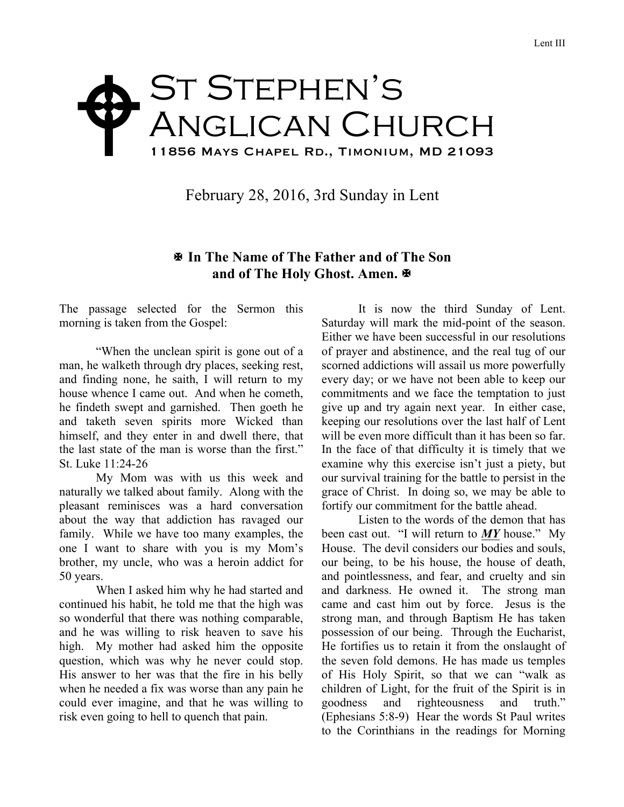## ST STEPHEN'S Anglican Church 11856 Mays Chapel Rd., Timonium, MD 21093  $\blacklozenge$

February 28, 2016, 3rd Sunday in Lent

## X **In The Name of The Father and of The Son** and of The Holy Ghost. Amen. **E**

The passage selected for the Sermon this morning is taken from the Gospel:

"When the unclean spirit is gone out of a man, he walketh through dry places, seeking rest, and finding none, he saith, I will return to my house whence I came out. And when he cometh, he findeth swept and garnished. Then goeth he and taketh seven spirits more Wicked than himself, and they enter in and dwell there, that the last state of the man is worse than the first." St. Luke 11:24-26

My Mom was with us this week and naturally we talked about family. Along with the pleasant reminisces was a hard conversation about the way that addiction has ravaged our family. While we have too many examples, the one I want to share with you is my Mom's brother, my uncle, who was a heroin addict for 50 years.

When I asked him why he had started and continued his habit, he told me that the high was so wonderful that there was nothing comparable, and he was willing to risk heaven to save his high. My mother had asked him the opposite question, which was why he never could stop. His answer to her was that the fire in his belly when he needed a fix was worse than any pain he could ever imagine, and that he was willing to risk even going to hell to quench that pain.

It is now the third Sunday of Lent. Saturday will mark the mid-point of the season. Either we have been successful in our resolutions of prayer and abstinence, and the real tug of our scorned addictions will assail us more powerfully every day; or we have not been able to keep our commitments and we face the temptation to just give up and try again next year. In either case, keeping our resolutions over the last half of Lent will be even more difficult than it has been so far. In the face of that difficulty it is timely that we examine why this exercise isn't just a piety, but our survival training for the battle to persist in the grace of Christ. In doing so, we may be able to fortify our commitment for the battle ahead.

Listen to the words of the demon that has been cast out. "I will return to *MY* house." My House. The devil considers our bodies and souls, our being, to be his house, the house of death, and pointlessness, and fear, and cruelty and sin and darkness. He owned it. The strong man came and cast him out by force. Jesus is the strong man, and through Baptism He has taken possession of our being. Through the Eucharist, He fortifies us to retain it from the onslaught of the seven fold demons. He has made us temples of His Holy Spirit, so that we can "walk as children of Light, for the fruit of the Spirit is in goodness and righteousness and truth." (Ephesians 5:8-9) Hear the words St Paul writes to the Corinthians in the readings for Morning